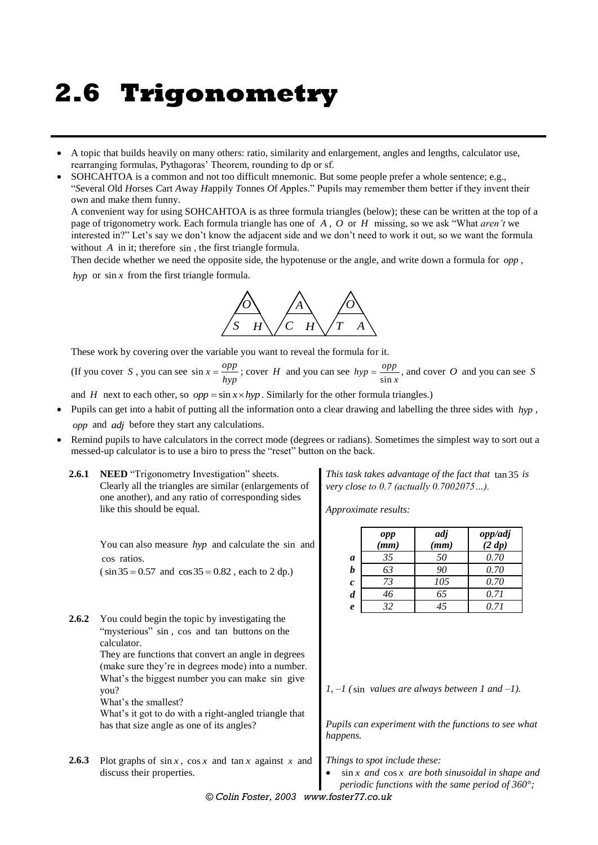# **2.6 Trigonometry**

- A topic that builds heavily on many others: ratio, similarity and enlargement, angles and lengths, calculator use, rearranging formulas, Pythagoras' Theorem, rounding to dp or sf.
- SOHCAHTOA is a common and not too difficult mnemonic. But some people prefer a whole sentence; e.g., "*S*everal *O*ld *H*orses *C*art *A*way *H*appily *T*onnes *O*f *A*pples." Pupils may remember them better if they invent their own and make them funny.

A convenient way for using SOHCAHTOA is as three formula triangles (below); these can be written at the top of a page of trigonometry work. Each formula triangle has one of *A* , *O* or *H* missing, so we ask "What *aren't* we interested in?" Let's say we don't know the adjacent side and we don't need to work it out, so we want the formula without A in it; therefore sin, the first triangle formula.

Then decide whether we need the opposite side, the hypotenuse or the angle, and write down a formula for *opp* ,

*hyp* or  $\sin x$  from the first triangle formula.



These work by covering over the variable you want to reveal the formula for it.

(If you cover S, you can see  $\sin x = \frac{opp}{hyp}$  $=\frac{opp}{hyp}$ ; cover *H* and you can see  $hyp = \frac{opp}{\sin x}$ , and cover *O* and you can see *S* 

and *H* next to each other, so  $opp = \sin x \times hyp$ . Similarly for the other formula triangles.)

- Pupils can get into a habit of putting all the information onto a clear drawing and labelling the three sides with *hyp* , *opp* and *adj* before they start any calculations.
- Remind pupils to have calculators in the correct mode (degrees or radians). Sometimes the simplest way to sort out a messed-up calculator is to use a biro to press the "reset" button on the back.
	- **2.6.1 NEED** "Trigonometry Investigation" sheets. Clearly all the triangles are similar (enlargements of one another), and any ratio of corresponding sides like this should be equal.

You can also measure *hyp* and calculate the sin and cos ratios.

 $(\sin 35 = 0.57 \text{ and } \cos 35 = 0.82 \text{, each to } 2 \text{ dp.})$ 

**2.6.2** You could begin the topic by investigating the "mysterious" sin, cos and tan buttons on the calculator. They are functions that convert an angle in degrees (make sure they're in degrees mode) into a number. What's the biggest number you can make sin give you?

What's the smallest?

What's it got to do with a right-angled triangle that has that size angle as one of its angles?

**2.6.3** Plot graphs of  $\sin x$ ,  $\cos x$  and  $\tan x$  against *x* and discuss their properties.

*This task takes advantage of the fact that*  tan 35 *is very close to 0.7 (actually 0.7002075…).*

*Approximate results:*

|                  | opp<br>(mm) | adj<br>(mm) | opp/adj<br>(2 dp) |
|------------------|-------------|-------------|-------------------|
| a                | 35          | 50          | 0.70              |
| h                | 63          | 90          | 0.70              |
| $\boldsymbol{c}$ | 73          | 105         | 0.70              |
| $\boldsymbol{d}$ | 46          | 65          | 0.71              |
| $\boldsymbol{e}$ | 32          | 45          | 0.71              |

*1, –1 (* sin *values are always between 1 and –1).*

*Pupils can experiment with the functions to see what happens.*

*Things to spot include these:*

 sin *x and*  cos *x are both sinusoidal in shape and periodic functions with the same period of 360°;* 

*© Colin Foster, 2003 www.foster77.co.uk*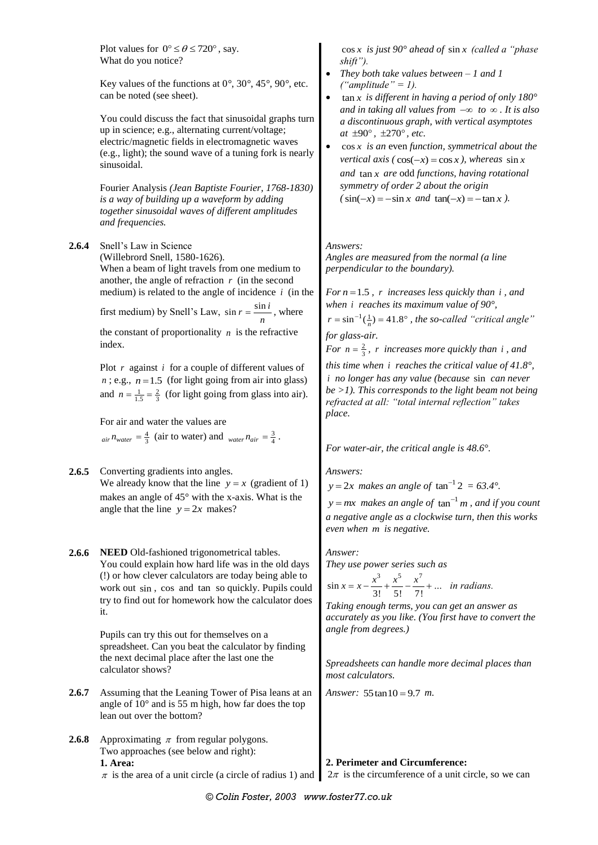|                         | Plot values for $0^{\circ} \le \theta \le 720^{\circ}$ , say.<br>What do you notice?<br>Key values of the functions at $0^\circ$ , $30^\circ$ , $45^\circ$ , $90^\circ$ , etc.<br>can be noted (see sheet).<br>You could discuss the fact that sinusoidal graphs turn<br>up in science; e.g., alternating current/voltage;<br>electric/magnetic fields in electromagnetic waves<br>(e.g., light); the sound wave of a tuning fork is nearly<br>sinusoidal.<br>Fourier Analysis (Jean Baptiste Fourier, 1768-1830)<br>is a way of building up a waveform by adding<br>together sinusoidal waves of different amplitudes<br>and frequencies.                                                                    | $\cos x$ is just 90° ahead of $\sin x$ (called a "phase<br>$shift'$ ).<br>They both take values between $-1$ and $1$<br>("amplitude" = 1).<br>$\tan x$ is different in having a period of only 180 $^{\circ}$<br>and in taking all values from $-\infty$ to $\infty$ . It is also<br>a discontinuous graph, with vertical asymptotes<br>at $\pm 90^\circ$ , $\pm 270^\circ$ , etc.<br>$\cos x$ is an even function, symmetrical about the<br><i>vertical axis</i> ( $cos(-x) = cos x$ ), <i>whereas</i> $sin x$<br>and $\tan x$ are odd functions, having rotational<br>symmetry of order 2 about the origin<br>$(\sin(-x) = -\sin x$ and $\tan(-x) = -\tan x$ .                        |  |  |
|-------------------------|---------------------------------------------------------------------------------------------------------------------------------------------------------------------------------------------------------------------------------------------------------------------------------------------------------------------------------------------------------------------------------------------------------------------------------------------------------------------------------------------------------------------------------------------------------------------------------------------------------------------------------------------------------------------------------------------------------------|-----------------------------------------------------------------------------------------------------------------------------------------------------------------------------------------------------------------------------------------------------------------------------------------------------------------------------------------------------------------------------------------------------------------------------------------------------------------------------------------------------------------------------------------------------------------------------------------------------------------------------------------------------------------------------------------|--|--|
| 2.6.4                   | Snell's Law in Science<br>(Willebrord Snell, 1580-1626).<br>When a beam of light travels from one medium to<br>another, the angle of refraction $r$ (in the second<br>medium) is related to the angle of incidence $i$ (in the<br>first medium) by Snell's Law, $\sin r = \frac{\sin i}{r}$ , where<br>the constant of proportionality $n$ is the refractive<br>index.<br>Plot $r$ against $i$ for a couple of different values of<br>$n$ ; e.g., $n = 1.5$ (for light going from air into glass)<br>and $n = \frac{1}{1.5} = \frac{2}{3}$ (for light going from glass into air).<br>For air and water the values are<br>$_{air}n_{water} = \frac{4}{3}$ (air to water) and $_{water}n_{air} = \frac{3}{4}$ . | Answers:<br>Angles are measured from the normal (a line<br>perpendicular to the boundary).<br>For $n = 1.5$ , r increases less quickly than i, and<br>when $i$ reaches its maximum value of 90 $^{\circ}$ ,<br>$r = \sin^{-1}(\frac{1}{n}) = 41.8^{\circ}$ , the so-called "critical angle"<br>for glass-air.<br>For $n = \frac{2}{3}$ , r increases more quickly than i, and<br>this time when $i$ reaches the critical value of 41.8°,<br><i>i</i> no longer has any value (because sin can never<br>$be$ >1). This corresponds to the light beam not being<br>refracted at all: "total internal reflection" takes<br>place.<br>For water-air, the critical angle is $48.6^{\circ}$ . |  |  |
| 2.6.5                   | Converting gradients into angles.<br>We already know that the line $y = x$ (gradient of 1)<br>makes an angle of 45° with the x-axis. What is the<br>angle that the line $y = 2x$ makes?                                                                                                                                                                                                                                                                                                                                                                                                                                                                                                                       | Answers:<br>$y = 2x$ makes an angle of $\tan^{-1} 2 = 63.4^{\circ}$ .<br>$y = mx$ makes an angle of $tan^{-1} m$ , and if you count<br>a negative angle as a clockwise turn, then this works<br>even when m is negative.                                                                                                                                                                                                                                                                                                                                                                                                                                                                |  |  |
| 2.6.6<br>2.6.7<br>2.6.8 | NEED Old-fashioned trigonometrical tables.<br>You could explain how hard life was in the old days<br>(!) or how clever calculators are today being able to<br>work out sin, cos and tan so quickly. Pupils could<br>try to find out for homework how the calculator does<br>it.<br>Pupils can try this out for themselves on a<br>spreadsheet. Can you beat the calculator by finding<br>the next decimal place after the last one the<br>calculator shows?<br>Assuming that the Leaning Tower of Pisa leans at an<br>angle of $10^{\circ}$ and is 55 m high, how far does the top<br>lean out over the bottom?<br>Approximating $\pi$ from regular polygons.                                                 | Answer:<br>They use power series such as<br>$\sin x = x - \frac{x^3}{3!} + \frac{x^5}{5!} - \frac{x^7}{7!} + \dots$ <i>in radians.</i><br>Taking enough terms, you can get an answer as<br>accurately as you like. (You first have to convert the<br>angle from degrees.)<br>Spreadsheets can handle more decimal places than<br>most calculators.<br>Answer: $55 \tan 10 = 9.7$ m.                                                                                                                                                                                                                                                                                                     |  |  |
|                         | Two approaches (see below and right):<br>1. Area:<br>$\pi$ is the area of a unit circle (a circle of radius 1) and                                                                                                                                                                                                                                                                                                                                                                                                                                                                                                                                                                                            | 2. Perimeter and Circumference:<br>$2\pi$ is the circumference of a unit circle, so we can                                                                                                                                                                                                                                                                                                                                                                                                                                                                                                                                                                                              |  |  |
|                         | © Colin Foster, 2003, www.foster77.co.uk                                                                                                                                                                                                                                                                                                                                                                                                                                                                                                                                                                                                                                                                      |                                                                                                                                                                                                                                                                                                                                                                                                                                                                                                                                                                                                                                                                                         |  |  |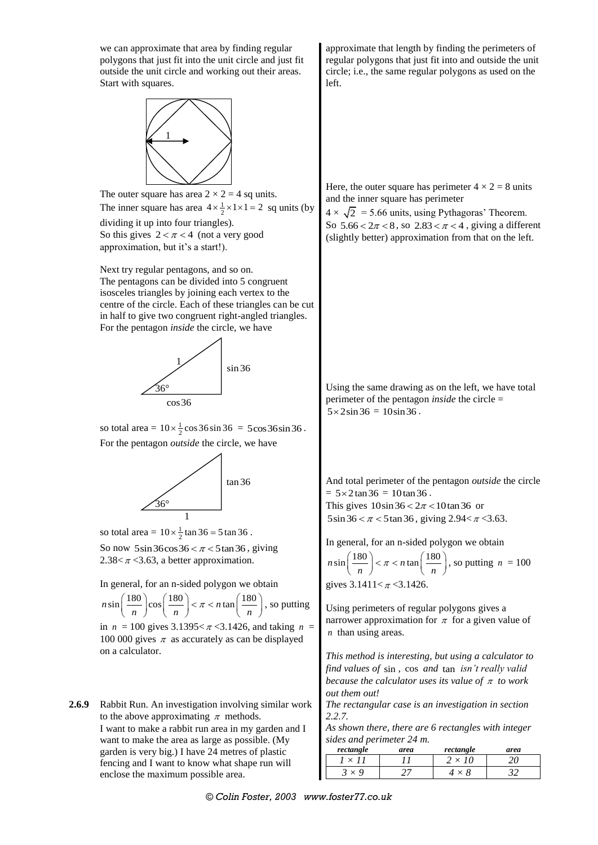we can approximate that area by finding regular polygons that just fit into the unit circle and just fit outside the unit circle and working out their areas. Start with squares.



The outer square has area  $2 \times 2 = 4$  sq units. The inner square has area  $4 \times \frac{1}{2} \times 1 \times 1 = 2$  sq units (by dividing it up into four triangles). So this gives  $2 < \pi < 4$  (not a very good approximation, but it's a start!).

Next try regular pentagons, and so on. The pentagons can be divided into 5 congruent isosceles triangles by joining each vertex to the centre of the circle. Each of these triangles can be cut in half to give two congruent right-angled triangles. For the pentagon *inside* the circle, we have



so total area =  $10 \times \frac{1}{2} \cos 36 \sin 36 = 5 \cos 36 \sin 36$ . For the pentagon *outside* the circle, we have



so total area =  $10 \times \frac{1}{2} \tan 36 = 5 \tan 36$ .

So now  $5\sin 36\cos 36 < \pi < 5\tan 36$ , giving 2.38 $< \pi$  < 3.63, a better approximation.

In general, for an n-sided polygon we obtain

In general, for an n-sided polygon we obtain<br>  $n\sin\left(\frac{180}{n}\right)\cos\left(\frac{180}{n}\right) < \pi < n\tan\left(\frac{180}{n}\right)$ , so , so putting in  $n = 100$  gives  $3.1395 < \pi < 3.1426$ , and taking  $n =$ 100 000 gives  $\pi$  as accurately as can be displayed on a calculator.

**2.6.9** Rabbit Run. An investigation involving similar work to the above approximating  $\pi$  methods. I want to make a rabbit run area in my garden and I want to make the area as large as possible. (My garden is very big.) I have 24 metres of plastic fencing and I want to know what shape run will enclose the maximum possible area.

approximate that length by finding the perimeters of regular polygons that just fit into and outside the unit circle; i.e., the same regular polygons as used on the left.

Here, the outer square has perimeter  $4 \times 2 = 8$  units and the inner square has perimeter

 $4 \times \sqrt{2}$  = 5.66 units, using Pythagoras' Theorem. So  $5.66 < 2\pi < 8$ , so  $2.83 < \pi < 4$ , giving a different (slightly better) approximation from that on the left.

Using the same drawing as on the left, we have total perimeter of the pentagon *inside* the circle =  $5 \times 2 \sin 36 = 10 \sin 36$ .

And total perimeter of the pentagon *outside* the circle  $= 5 \times 2 \tan 36 = 10 \tan 36$ . This gives  $10\sin 36 < 2\pi < 10 \tan 36$  or  $5\sin 36 < \pi < 5\tan 36$ , giving  $2.94 < \pi < 3.63$ .

In general, for an n-sided polygon we obtain  $n \sin\left(\frac{180}{n}\right) < \pi < n \tan\left(\frac{180}{n}\right)$ , so putting  $n = 100$ gives  $3.1411 < \pi < 3.1426$ .

Using perimeters of regular polygons gives a narrower approximation for  $\pi$  for a given value of *n* than using areas.

*This method is interesting, but using a calculator to find values of*  sin *,* cos *and*  tan *isn't really valid*  because the calculator uses its value of  $\pi$  to work *out them out!*

*The rectangular case is an investigation in section 2.2.7.*

*As shown there, there are 6 rectangles with integer sides and perimeter 24 m.*

| rectangle | area | rectangle | area |
|-----------|------|-----------|------|
|           |      |           |      |
|           |      |           |      |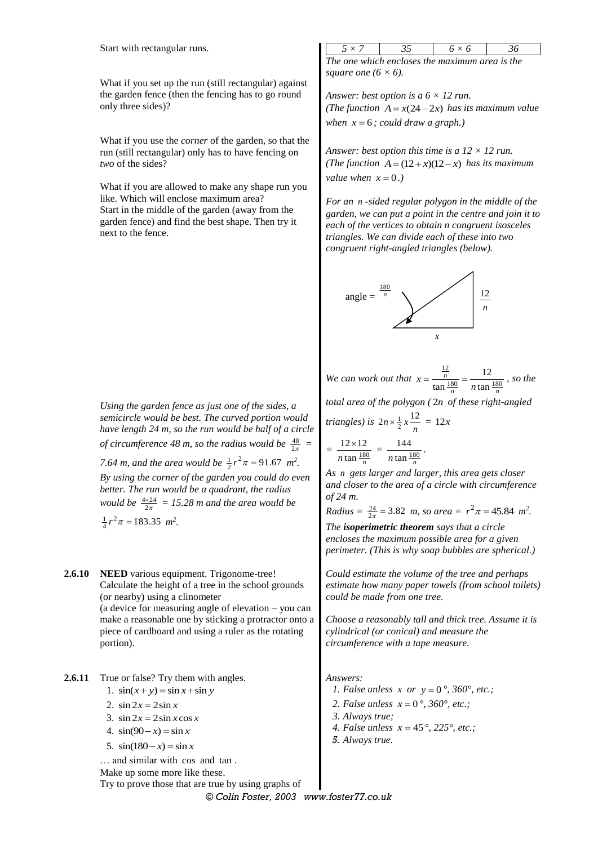Start with rectangular runs.

What if you set up the run (still rectangular) against the garden fence (then the fencing has to go round only three sides)?

What if you use the *corner* of the garden, so that the run (still rectangular) only has to have fencing on *two* of the sides?

What if you are allowed to make any shape run you like. Which will enclose maximum area? Start in the middle of the garden (away from the garden fence) and find the best shape. Then try it next to the fence.

*Using the garden fence as just one of the sides, a semicircle would be best. The curved portion would have length 24 m, so the run would be half of a circle of circumference* 48 *m, so the radius would be*  $\frac{48}{2\pi}$  = *7.64 m, and the area would be*  $\frac{1}{2}r^2\pi = 91.67$  *m*<sup>2</sup>. *By using the corner of the garden you could do even better. The run would be a quadrant, the radius*  would be  $\frac{4\times24}{2\pi}$  = 15.28 m and the area would be  $\frac{1}{4}r^2\pi = 183.35$  *m*<sup>2</sup>.

**2.6.10 NEED** various equipment. Trigonome-tree! Calculate the height of a tree in the school grounds (or nearby) using a clinometer (a device for measuring angle of elevation – you can make a reasonable one by sticking a protractor onto a piece of cardboard and using a ruler as the rotating portion).

**2.6.11** True or false? Try them with angles.

1.  $\sin(x+y) = \sin x + \sin y$ 

2.  $\sin 2x = 2 \sin x$ 

- 3.  $\sin 2x = 2\sin x \cos x$
- 4.  $\sin(90 x) = \sin x$
- 5.  $\sin(180 x) = \sin x$

... and similar with cos and tan.

Make up some more like these.

Try to prove those that are true by using graphs of

| $5 \times$                                     | $h \times h$ | 36 |
|------------------------------------------------|--------------|----|
| The one which encloses the maximum area is the |              |    |

*square one*  $(6 \times 6)$ *.* 

*Answer: best option is a 6 × 12 run. (The function*  $A = x(24 - 2x)$  *has its maximum value* when  $x = 6$ ; could draw a graph.)

*Answer: best option this time is a 12 × 12 run. (The function*  $A = (12 + x)(12 - x)$  *has its maximum value when*  $x = 0$ .)

*For an n -sided regular polygon in the middle of the garden, we can put a point in the centre and join it to each of the vertices to obtain n congruent isosceles triangles. We can divide each of these into two congruent right-angled triangles (below).*



*We can work out that*  12  $\frac{180}{n}$  180 12  $\frac{n}{\tan \frac{180}{n}} = \frac{12}{n \tan \frac{180}{n}}$  $\frac{n}{n}$   $n \tan \frac{n}{n}$  $x = \frac{n}{\tan \frac{180}{n}} = \frac{12}{n \tan \frac{180}{n}}$ , so the

*total area of the polygon (* 2*n of these right-angled* 

triangles) is 
$$
2n \times \frac{1}{2} x \frac{12}{n} = 12x
$$
  
=  $\frac{12 \times 12}{n \tan \frac{180}{n}} = \frac{144}{n \tan \frac{180}{n}}$ .

*As n gets larger and larger, this area gets closer and closer to the area of a circle with circumference of 24 m.*

*Radius* =  $\frac{24}{2\pi}$  = 3.82 *m, so area* =  $r^2 \pi$  = 45.84 *m*<sup>2</sup>.

*The isoperimetric theorem says that a circle encloses the maximum possible area for a given perimeter. (This is why soap bubbles are spherical.)*

*Could estimate the volume of the tree and perhaps estimate how many paper towels (from school toilets) could be made from one tree.*

*Choose a reasonably tall and thick tree. Assume it is cylindrical (or conical) and measure the circumference with a tape measure.*

*Answers:*

*1. False unless x or y* = 0 $^{\circ}$ , 360 $^{\circ}$ , *etc.*;

2. *False unless*  $x = 0^{\circ}$ , 360°, *etc.*;

*3. Always true;*

- *4. False unless*  $x = 45^{\circ}, 225^{\circ}, \text{etc.}$ ;
- *5. Always true.*

*© Colin Foster, 2003 www.foster77.co.uk*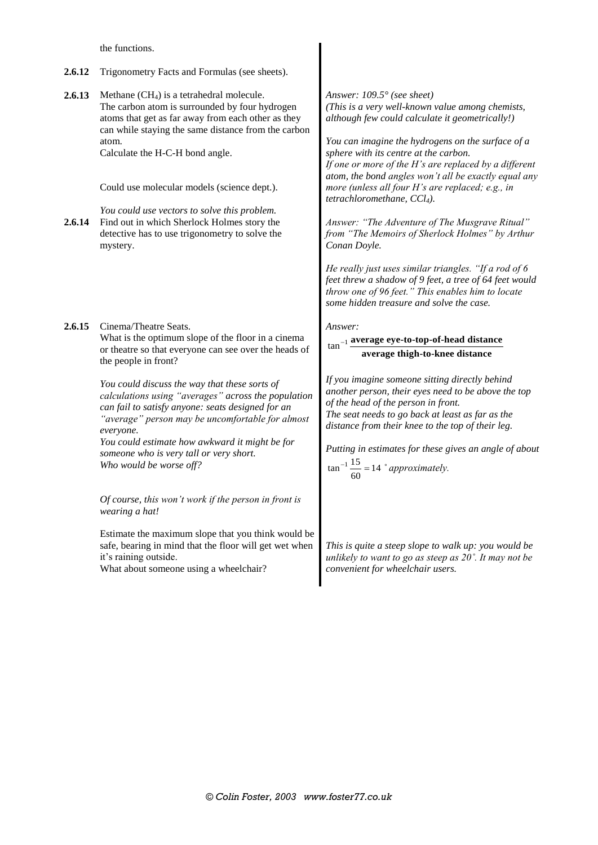the functions.

- **2.6.12** Trigonometry Facts and Formulas (see sheets).
- **2.6.13** Methane (CH<sub>4</sub>) is a tetrahedral molecule. The carbon atom is surrounded by four hydrogen atoms that get as far away from each other as they can while staying the same distance from the carbon atom. Calculate the H-C-H bond angle.

Could use molecular models (science dept.).

*You could use vectors to solve this problem.* **2.6.14** Find out in which Sherlock Holmes story the detective has to use trigonometry to solve the mystery.

**2.6.15** Cinema/Theatre Seats. What is the optimum slope of the floor in a cinema or theatre so that everyone can see over the heads of the people in front?

> *You could discuss the way that these sorts of calculations using "averages" across the population can fail to satisfy anyone: seats designed for an "average" person may be uncomfortable for almost everyone.*

*You could estimate how awkward it might be for someone who is very tall or very short. Who would be worse off?*

*Of course, this won't work if the person in front is wearing a hat!*

Estimate the maximum slope that you think would be safe, bearing in mind that the floor will get wet when it's raining outside.

What about someone using a wheelchair?

*Answer: 109.5° (see sheet) (This is a very well-known value among chemists, although few could calculate it geometrically!)*

*You can imagine the hydrogens on the surface of a sphere with its centre at the carbon. If one or more of the H's are replaced by a different atom, the bond angles won't all be exactly equal any more (unless all four H's are replaced; e.g., in tetrachloromethane, CCl4).*

*Answer: "The Adventure of The Musgrave Ritual" from "The Memoirs of Sherlock Holmes" by Arthur Conan Doyle.*

*He really just uses similar triangles. "If a rod of 6 feet threw a shadow of 9 feet, a tree of 64 feet would throw one of 96 feet." This enables him to locate some hidden treasure and solve the case.*

*Answer:*

#### 1 tan **average eye-to-top-of-head distance average thigh-to-knee distance**

*If you imagine someone sitting directly behind another person, their eyes need to be above the top of the head of the person in front. The seat needs to go back at least as far as the distance from their knee to the top of their leg.*

*Putting in estimates for these gives an angle of about*   $\tan^{-1} \frac{15}{60} = 14$  $\frac{113}{60}$  = 14  $\degree$  *approximately.* 

*This is quite a steep slope to walk up: you would be unlikely to want to go as steep as 20˚. It may not be convenient for wheelchair users.*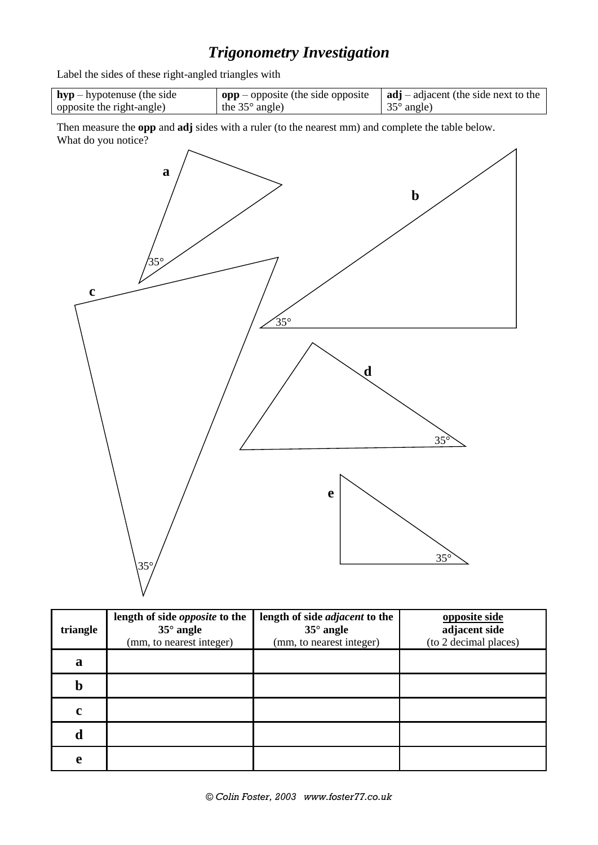## *Trigonometry Investigation*

Label the sides of these right-angled triangles with

| $hyp$ – hypotenuse (the side | $\log p$ – opposite (the side opposite | $\vert$ adj – adjacent (the side next to the |
|------------------------------|----------------------------------------|----------------------------------------------|
| opposite the right-angle)    | the $35^{\circ}$ angle)                | $\frac{35^{\circ}}{2}$ angle)                |

Then measure the **opp** and **adj** sides with a ruler (to the nearest mm) and complete the table below. What do you notice?



| triangle    | length of side <i>opposite</i> to the<br>$35^\circ$ angle<br>(mm, to nearest integer) | length of side <i>adjacent</i> to the<br>$35^\circ$ angle<br>(mm, to nearest integer) | opposite side<br>adjacent side<br>(to 2 decimal places) |
|-------------|---------------------------------------------------------------------------------------|---------------------------------------------------------------------------------------|---------------------------------------------------------|
| a           |                                                                                       |                                                                                       |                                                         |
| $\bm{b}$    |                                                                                       |                                                                                       |                                                         |
| $\mathbf c$ |                                                                                       |                                                                                       |                                                         |
| d           |                                                                                       |                                                                                       |                                                         |
| e           |                                                                                       |                                                                                       |                                                         |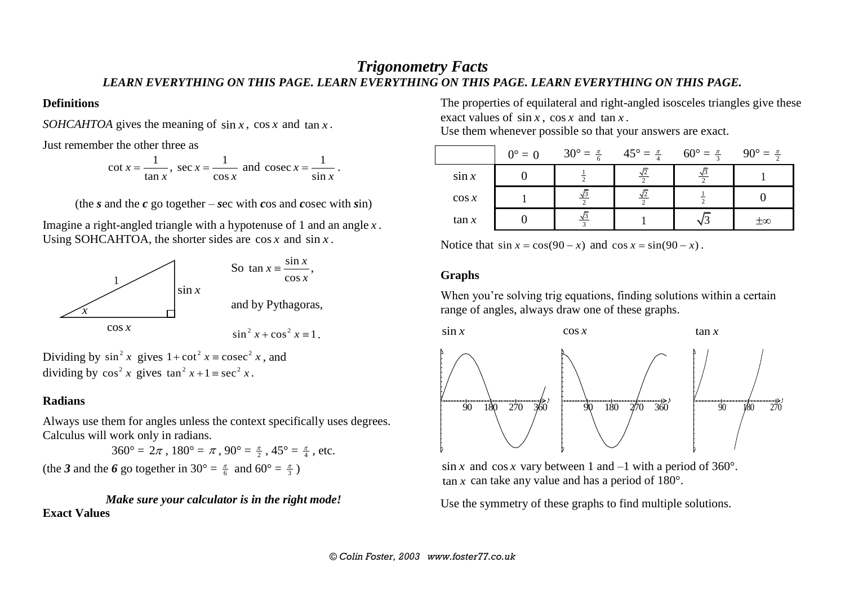## *Trigonometry Facts LEARN EVERYTHING ON THIS PAGE. LEARN EVERYTHING ON THIS PAGE. LEARN EVERYTHING ON THIS PAGE.*

#### **Definitions**

SOHCAHTOA gives the meaning of  $\sin x$ ,  $\cos x$  and  $\tan x$ .

Just remember the other three as

 $\cot x = \frac{1}{1}$ tan *x x*  $=\frac{1}{\sqrt{2}}$ , sec  $x=\frac{1}{\sqrt{2}}$ cos *x x*  $=\frac{1}{x}$  and cosec  $x=\frac{1}{x}$ sin *x x*  $=\frac{1}{\cdot}$ .

(the *s* and the *c* go together – *s*ec with *c*os and *c*osec with *s*in)

Imagine a right-angled triangle with a hypotenuse of 1 and an angle *x* . Using SOHCAHTOA, the shorter sides are  $\cos x$  and  $\sin x$ .



Dividing by  $\sin^2 x$  gives  $1 + \cot^2 x = \csc^2 x$ , and dividing by  $\cos^2 x$  gives  $\tan^2 x + 1 \equiv \sec^2 x$ .

#### **Radians**

Always use them for angles unless the context specifically uses degrees. Calculus will work only in radians.

 $360^{\circ} = 2\pi$ ,  $180^{\circ} = \pi$ ,  $90^{\circ} = \frac{\pi}{2}$ ,  $45^{\circ} = \frac{\pi}{4}$ , etc.

(the 3 and the 6 go together in 30° =  $\frac{\pi}{6}$  and 60° =  $\frac{\pi}{3}$ )

*Make sure your calculator is in the right mode!* **Exact Values**

The properties of equilateral and right-angled isosceles triangles give these exact values of  $\sin x$ ,  $\cos x$  and  $\tan x$ .

Use them whenever possible so that your answers are exact.

|          | $0^\circ = 0$ | $30^{\circ} = \frac{\pi}{6}$ | $45^{\circ} = \frac{\pi}{4}$ | $60^{\circ} = \frac{\pi}{3}$ | $90^{\circ} = \frac{\pi}{2}$ |
|----------|---------------|------------------------------|------------------------------|------------------------------|------------------------------|
| $\sin x$ |               |                              |                              |                              |                              |
| $\cos x$ |               |                              |                              |                              |                              |
| $\tan x$ |               |                              |                              |                              | $\pm\infty$                  |

Notice that  $\sin x = \cos(90 - x)$  and  $\cos x = \sin(90 - x)$ .

#### **Graphs**

When you're solving trig equations, finding solutions within a certain range of angles, always draw one of these graphs.



 $\sin x$  and  $\cos x$  vary between 1 and  $-1$  with a period of 360°.  $\tan x$  can take any value and has a period of 180 $^{\circ}$ .

Use the symmetry of these graphs to find multiple solutions.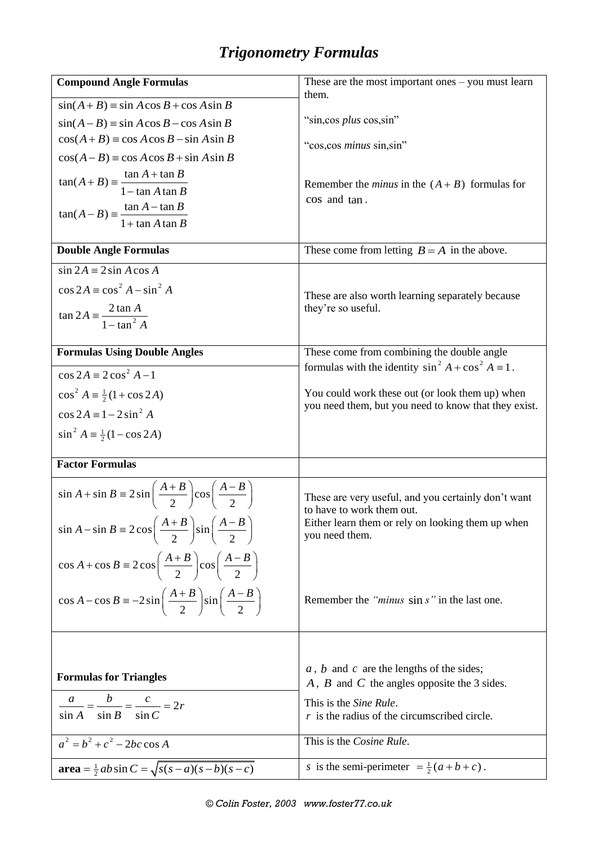# *Trigonometry Formulas*

| <b>Compound Angle Formulas</b>                                                            | These are the most important ones $-$ you must learn                                                    |
|-------------------------------------------------------------------------------------------|---------------------------------------------------------------------------------------------------------|
| $sin(A+B) = sin A cos B + cos A sin B$                                                    | them.                                                                                                   |
| $sin(A - B) = sin A cos B - cos A sin B$                                                  | "sin, cos plus cos, sin"                                                                                |
| $cos(A+B) = cos A cos B - sin A sin B$                                                    | "cos, cos <i>minus</i> sin, sin"                                                                        |
| $cos(A-B) = cos A cos B + sin A sin B$                                                    |                                                                                                         |
| $\tan(A+B) = \frac{\tan A + \tan B}{1 - \tan A \tan B}$                                   |                                                                                                         |
|                                                                                           | Remember the <i>minus</i> in the $(A + B)$ formulas for<br>cos and tan.                                 |
| $\tan(A - B) = \frac{\tan A - \tan B}{1 + \tan A \tan B}$                                 |                                                                                                         |
|                                                                                           |                                                                                                         |
| <b>Double Angle Formulas</b>                                                              | These come from letting $B = A$ in the above.                                                           |
| $\sin 2A = 2 \sin A \cos A$                                                               |                                                                                                         |
| $\cos 2A \equiv \cos^2 A - \sin^2 A$                                                      | These are also worth learning separately because                                                        |
|                                                                                           | they're so useful.                                                                                      |
| $\tan 2A = \frac{2 \tan A}{1 - \tan^2 A}$                                                 |                                                                                                         |
| <b>Formulas Using Double Angles</b>                                                       | These come from combining the double angle                                                              |
|                                                                                           | formulas with the identity $\sin^2 A + \cos^2 A = 1$ .                                                  |
| $\cos 2A \equiv 2\cos^2 A - 1$                                                            |                                                                                                         |
| $\cos^2 A = \frac{1}{2}(1 + \cos 2A)$                                                     | You could work these out (or look them up) when<br>you need them, but you need to know that they exist. |
| $\cos 2A = 1 - 2 \sin^2 A$                                                                |                                                                                                         |
| $\sin^2 A = \frac{1}{2}(1 - \cos 2A)$                                                     |                                                                                                         |
| <b>Factor Formulas</b>                                                                    |                                                                                                         |
| $\sin A + \sin B = 2 \sin \left( \frac{A+B}{2} \right) \cos \left( \frac{A-B}{2} \right)$ | These are very useful, and you certainly don't want<br>to have to work them out.                        |
| $\sin A - \sin B = 2 \cos \left( \frac{A+B}{2} \right) \sin \left( \frac{A-B}{2} \right)$ | Either learn them or rely on looking them up when<br>you need them.                                     |
| $\cos A + \cos B = 2 \cos \left( \frac{A+B}{2} \right) \cos \left( \frac{A-B}{2} \right)$ |                                                                                                         |
| $\cos A - \cos B = -2\sin\left(\frac{A+B}{2}\right)\sin\left(\frac{A-B}{2}\right)$        | Remember the " <i>minus</i> sin s" in the last one.                                                     |
|                                                                                           |                                                                                                         |
| <b>Formulas for Triangles</b>                                                             | $a, b$ and $c$ are the lengths of the sides;<br>$A$ , $B$ and $C$ the angles opposite the 3 sides.      |
| $\frac{a}{\sin A} = \frac{b}{\sin B} = \frac{c}{\sin C} = 2r$                             | This is the Sine Rule.<br>$r$ is the radius of the circumscribed circle.                                |
| $a^2 = b^2 + c^2 - 2bc \cos A$                                                            | This is the Cosine Rule.                                                                                |
| <b>area</b> = $\frac{1}{2}ab\sin C = \sqrt{s(s-a)(s-b)(s-c)}$                             | s is the semi-perimeter $=\frac{1}{2}(a+b+c)$ .                                                         |